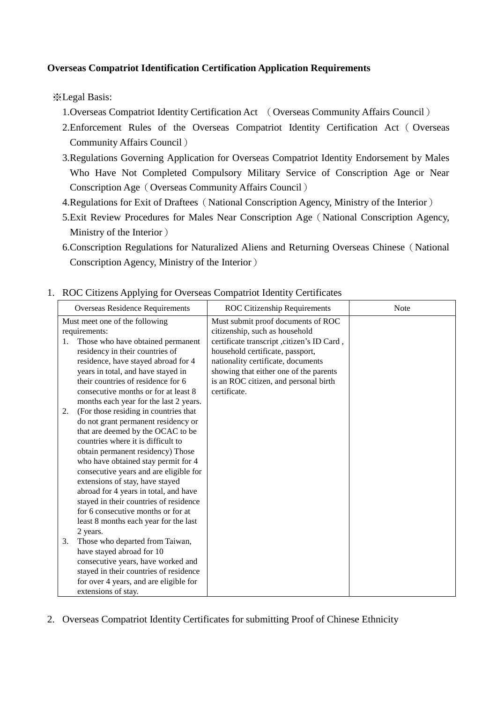## **Overseas Compatriot Identification Certification Application Requirements**

※Legal Basis:

- 1.Overseas Compatriot Identity Certification Act (Overseas Community Affairs Council)
- 2.Enforcement Rules of the Overseas Compatriot Identity Certification Act ( Overseas Community Affairs Council)
- 3.Regulations Governing Application for Overseas Compatriot Identity Endorsement by Males Who Have Not Completed Compulsory Military Service of Conscription Age or Near Conscription Age(Overseas Community Affairs Council)
- 4. Regulations for Exit of Draftees (National Conscription Agency, Ministry of the Interior)
- 5.Exit Review Procedures for Males Near Conscription Age(National Conscription Agency, Ministry of the Interior)
- 6.Conscription Regulations for Naturalized Aliens and Returning Overseas Chinese(National Conscription Agency, Ministry of the Interior)
- Overseas Residence Requirements ROC Citizenship Requirements Note Must meet one of the following requirements: 1. Those who have obtained permanent residency in their countries of residence, have stayed abroad for 4 years in total, and have stayed in their countries of residence for 6 consecutive months or for at least 8 months each year for the last 2 years. 2. (For those residing in countries that do not grant permanent residency or that are deemed by the OCAC to be countries where it is difficult to obtain permanent residency) Those who have obtained stay permit for 4 consecutive years and are eligible for extensions of stay, have stayed abroad for 4 years in total, and have stayed in their countries of residence for 6 consecutive months or for at least 8 months each year for the last 2 years. 3. Those who departed from Taiwan, have stayed abroad for 10 consecutive years, have worked and stayed in their countries of residence for over 4 years, and are eligible for extensions of stay. Must submit proof documents of ROC citizenship, such as household certificate transcript ,citizen's ID Card , household certificate, passport, nationality certificate, documents showing that either one of the parents is an ROC citizen, and personal birth certificate.
- 1. ROC Citizens Applying for Overseas Compatriot Identity Certificates

2. Overseas Compatriot Identity Certificates for submitting Proof of Chinese Ethnicity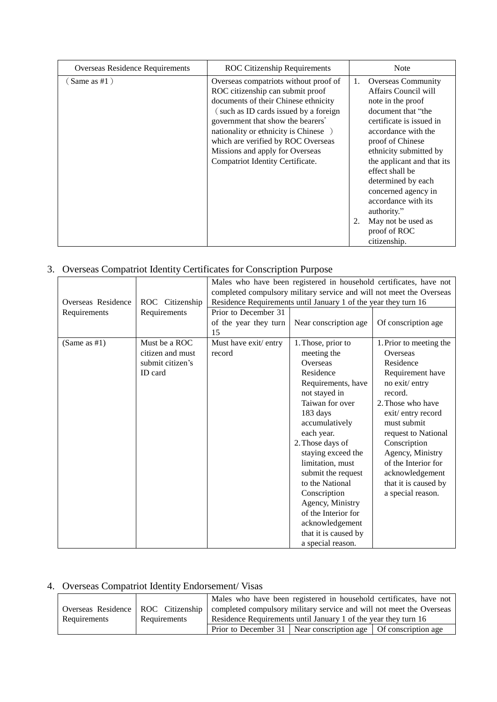| Overseas Residence Requirements | <b>ROC</b> Citizenship Requirements                                                                                                                                                                                                                                                                                                                   | <b>Note</b>                                                                                                                                                                                                                                                                                                                                                                                   |
|---------------------------------|-------------------------------------------------------------------------------------------------------------------------------------------------------------------------------------------------------------------------------------------------------------------------------------------------------------------------------------------------------|-----------------------------------------------------------------------------------------------------------------------------------------------------------------------------------------------------------------------------------------------------------------------------------------------------------------------------------------------------------------------------------------------|
| Same as #1)                     | Overseas compatriots without proof of<br>ROC citizenship can submit proof<br>documents of their Chinese ethnicity<br>(such as ID cards issued by a foreign<br>government that show the bearers'<br>nationality or ethnicity is Chinese )<br>which are verified by ROC Overseas<br>Missions and apply for Overseas<br>Compatriot Identity Certificate. | <b>Overseas Community</b><br>1.<br>Affairs Council will<br>note in the proof<br>document that "the<br>certificate is issued in<br>accordance with the<br>proof of Chinese<br>ethnicity submitted by<br>the applicant and that its<br>effect shall be<br>determined by each<br>concerned agency in<br>accordance with its<br>authority."<br>May not be used as<br>proof of ROC<br>citizenship. |

## 3. Overseas Compatriot Identity Certificates for Conscription Purpose

| Overseas Residence | ROC Citizenship  | Males who have been registered in household certificates, have not<br>completed compulsory military service and will not meet the Overseas<br>Residence Requirements until January 1 of the year they turn 16 |                       |                         |
|--------------------|------------------|---------------------------------------------------------------------------------------------------------------------------------------------------------------------------------------------------------------|-----------------------|-------------------------|
|                    |                  |                                                                                                                                                                                                               |                       |                         |
| Requirements       | Requirements     | Prior to December 31                                                                                                                                                                                          | Near conscription age | Of conscription age     |
|                    |                  | of the year they turn<br>15                                                                                                                                                                                   |                       |                         |
| (Same as $#1$ )    | Must be a ROC    | Must have exit/ entry                                                                                                                                                                                         | 1. Those, prior to    | 1. Prior to meeting the |
|                    | citizen and must | record                                                                                                                                                                                                        | meeting the           | Overseas                |
|                    | submit citizen's |                                                                                                                                                                                                               | Overseas              | Residence               |
|                    | <b>ID</b> card   |                                                                                                                                                                                                               | Residence             | Requirement have        |
|                    |                  |                                                                                                                                                                                                               | Requirements, have    | no exit/entry           |
|                    |                  |                                                                                                                                                                                                               | not stayed in         | record.                 |
|                    |                  |                                                                                                                                                                                                               | Taiwan for over       | 2. Those who have       |
|                    |                  |                                                                                                                                                                                                               | 183 days              | exit/entry record       |
|                    |                  |                                                                                                                                                                                                               | accumulatively        | must submit             |
|                    |                  |                                                                                                                                                                                                               | each year.            | request to National     |
|                    |                  |                                                                                                                                                                                                               | 2. Those days of      | Conscription            |
|                    |                  |                                                                                                                                                                                                               | staying exceed the    | Agency, Ministry        |
|                    |                  |                                                                                                                                                                                                               | limitation, must      | of the Interior for     |
|                    |                  |                                                                                                                                                                                                               | submit the request    | acknowledgement         |
|                    |                  |                                                                                                                                                                                                               | to the National       | that it is caused by    |
|                    |                  |                                                                                                                                                                                                               | Conscription          | a special reason.       |
|                    |                  |                                                                                                                                                                                                               | Agency, Ministry      |                         |
|                    |                  |                                                                                                                                                                                                               | of the Interior for   |                         |
|                    |                  |                                                                                                                                                                                                               | acknowledgement       |                         |
|                    |                  |                                                                                                                                                                                                               | that it is caused by  |                         |
|                    |                  |                                                                                                                                                                                                               | a special reason.     |                         |

## 4. Overseas Compatriot Identity Endorsement/ Visas

|                                      |              |                                                                      | Males who have been registered in household certificates, have not |  |
|--------------------------------------|--------------|----------------------------------------------------------------------|--------------------------------------------------------------------|--|
| Overseas Residence   ROC Citizenship |              | completed compulsory military service and will not meet the Overseas |                                                                    |  |
| Requirements                         | Requirements | Residence Requirements until January 1 of the year they turn 16      |                                                                    |  |
|                                      |              |                                                                      | Prior to December 31   Near conscription age   Of conscription age |  |